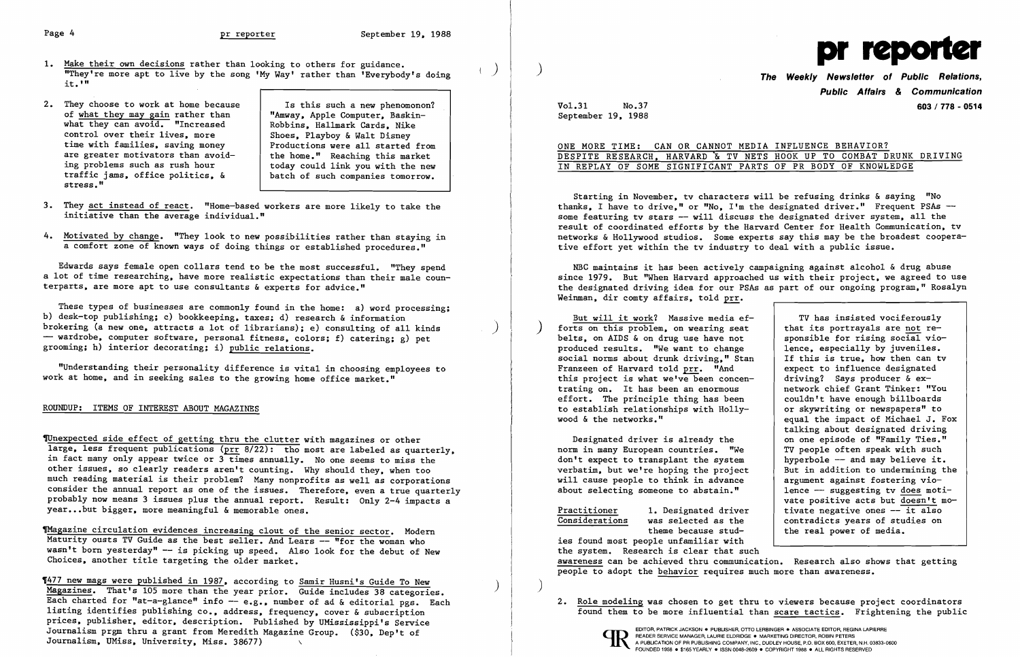2. They choose to work at home because  $\vert$  Is this such a new phenomonon? "Amway, Apple Computer, Baskin Robbins, Hallmark Cards, Nike Shoes, Playboy & Walt Disney Productions were all started from the home." Reaching this market today could link you with the new batch of such companies tomorrow.

- 1. <u>Make their own decisions</u> rather than looking to others for guidance.<br>"They're more apt to live by the song 'My Way' rather than 'Everybody's doing it.'" Ī
- of what they may gain rather than what they can avoid. "Increased control over their lives, more time with families, saving money are greater motivators than avoid ing problems such as rush hour traffic jams, office politics, & stress."

These types of businesses are commonly found in the home: a) word processing; b) desk-top publishing; c) bookkeeping, taxes; d) research & information brokering (a new one, attracts a lot of librarians); e) consulting of all kinds  $-$  wardrobe, computer software, personal fitness, colors; f) catering; g) pet grooming; h) interior decorating; i) public relations.

- 3. They act instead of react. "Home-based workers are more likely to take the initiative than the average individual."
- 4. Motivated by change. "They look to new possibilities rather than staying in a comfort zone of known ways of doing things or established procedures."

Edwards says female open collars tend to be the most successful. "They spend a lot of time researching, have more realistic expectations than their male counterparts, are more apt to use consultants & experts for advice."

Thagazine circulation evidences increasing clout of the senior sector. Modern Maturity ousts TV Guide as the best seller. And Lears -- "for the woman who wasn't born yesterday" -- is picking up speed. Also look for the debut of New Choices, another title targeting the older market.

**'477 new mags were published in 1987, according to Samir Husni's Guide To New Magazines. That's 105 more than the year prior.** Guide includes 38 categories. Each charted for "at-a-glance" info -- e.g., number of ad & editorial pgs. Each listing identifies publishing co., address, frequency, cover & subscription prices, publisher, editor, description. Published by UMississippi's Service Journalism prgm thru a grant from Meredith Magazine Group. (\$30, Dep't of Journalism, UMiss, University, Miss. 38677) \

"Understanding their personality difference is vital in choosing employees to work at home, and in seeking sales to the growing home office market."

## ROUNDUP: ITEMS OF INTEREST ABOUT MAGAZINES

TUnexpected side effect of getting thru the clutter with magazines or other large, less frequent publications (prr 8/22): tho most are labeled as quarterly, in fact many only appear twice or  $3$  times annually. No one seems to miss the other issues, so clearly readers aren't counting. Why should they, when too much reading material is their problem? Many nonprofits as well as corporations consider the annual report as one of the issues. Therefore, even a true quarterly probably now means 3 issues plus the annual report. Result: Only 2-4 impacts a year...but bigger, more meaningful & memorable ones.

TV has insisted vociferously that its portrayals are not re-<br>sponsible for rising social vioexpect to influence designated - | driving? Says producer & exnetwork chief Grant Tinker: "You<br>couldn't have enough billboards equal the impact of Michael J. Fox talking about designated driving vate positive acts but doesn't mo-Practitioner 1. Designated driver | tivate negative ones -- it also<br>Considerations was selected as the | contradicts years of studies on was selected as the  $\begin{array}{|l|} \hline \text{contradicts years of studies on} \\ \hline \text{there be} \end{array}$ the real power of media.

) forts on this problem, on wearing seat But will it work? Massive media efbelts, on AIDS & on drug use have not sponsible for rising social vio-<br>produced results. "We want to change share aspecially by juveniles. produced results. "We want to change lence, especially by juveniles.<br>social norms about drunk driving." Stan lif this is true, how then can tv social norms about drunk driving," Stan Franzeen of Harvard told prr. "And this project is what we've been concentrating on. It has been an enormous effort. The principle thing has been  $\vert$  couldn't have enough billboards<br>to establish relationships with Holly-  $\vert$  or skywriting or newspapers" to to establish relationships with Holly-<br>wood & the networks."

Designated driver is already the | on one episode of "Family Ties."<br>The in many European countries. "We | TV people often speak with such norm in many European countries. "We TV people often speak with such don't expect to transplant the system hyperbole -- and may believe it. don't expect to transplant the system  $\rule{1em}{0.15mm}$  hyperbole -- and may believe it.<br>verbatim, but we're hoping the project But in addition to undermining the verbatim, but we're hoping the project But in addition to undermining will cause people to think in advance argument against fostering viowill cause people to think in advance  $\begin{array}{|l|l|}\n \hline\n \text{about selecting some one to abstain."}\n \end{array}$  argument against fostering vioabout selecting someone to abstain."



# **Public Affairs & Communication**  Vo1.31 No.37 **603/778 - 0514**

September 19, 1988

### ONE MORE TIME: CAN OR CANNOT MEDIA INFLUENCE BEHAVIOR? DESPITE RESEARCH, HARVARD & TV NETS HOOK UP TO COMBAT DRUNK DRIVING IN REPLAY OF SOME SIGNIFICANT PARTS OF PR BODY OF KNOWLEDGE

Starting in November, tv characters will be refusing drinks & saying "No thanks, I have to drive," or "No, I'm the designated driver." Frequent PSAs -some featuring ty stars -- will discuss the designated driver system, all the result of coordinated efforts by the Harvard Center for Health Communication, tv networks & Hollywood studios. Some experts say this may be the broadest cooperative effort yet within the tv industry to deal with a public issue.

NBC maintains it has been actively campaigning against alcohol & drug abuse since 1979. But "When Harvard approached us with their project, we agreed to use the designated driving idea for our PSAs as part of our ongoing program," Rosalyn Weinman, dir comty affairs, told prr.

ies found most people unfamiliar with the system. Research is clear that such awareness can be achieved thru communication. Research also shows that getting people to adopt the behavior requires much more than awareness.

2. Role modeling was chosen to get thru to viewers because project coordinators found them to be more influential than scare tactics. Frightening the public



 $\big)$ 

READER SERVICE MANAGER, LAURIE ELDRIDGE . MARKETING DIRECTOR, ROBIN PETERS<br>A PUBLICATION OF PR PUBLISHING COMPANY, INC., DUDLEY HOUSE, P.O. BOX 600, EXETER, N.H. 03833-0600 FOUNDED 1958 • \$165 YEARLY • ISSN 0048-2609 • COPYRIGHT 1988 • ALL RIGHTS RESERVED

EDITOR, PATRICK JACKSON. PUBLISHER, OTTO LERBINGER • ASSOCIATE EDITOR, REGINA LAPIERRE